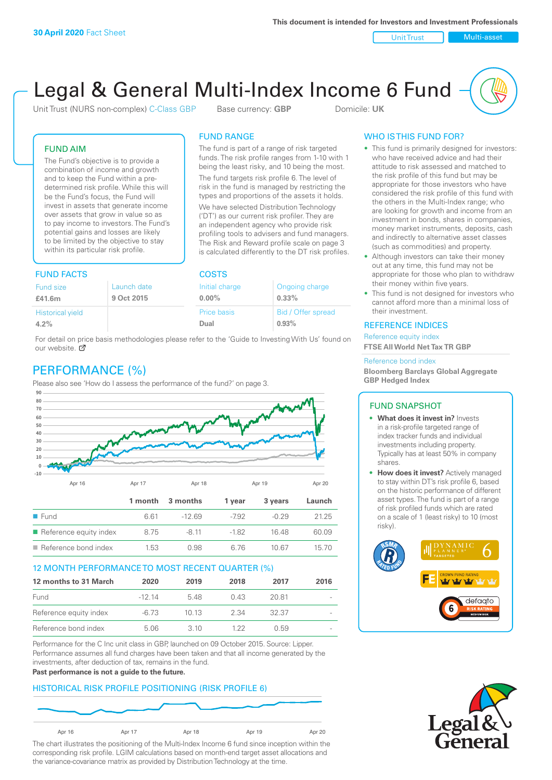Unit Trust Nulti-asset

# Legal & General Multi-Index Income 6 Fund

Unit Trust (NURS non-complex) C-Class GBP Base currency: **GBP** Domicile: UK

The fund is part of a range of risk targeted funds. The risk profile ranges from 1-10 with 1 being the least risky, and 10 being the most. The fund targets risk profile 6. The level of risk in the fund is managed by restricting the types and proportions of the assets it holds. We have selected Distribution Technology ('DT') as our current risk profiler. They are an independent agency who provide risk profiling tools to advisers and fund managers. The Risk and Reward profile scale on page 3 is calculated differently to the DT risk profiles.

FUND RANGE

FUND AIM

The Fund's objective is to provide a combination of income and growth and to keep the Fund within a predetermined risk profile. While this will be the Fund's focus, the Fund will invest in assets that generate income over assets that grow in value so as to pay income to investors. The Fund's potential gains and losses are likely to be limited by the objective to stay within its particular risk profile.

### FUND FACTS COSTS

| .                        |             |                    |  |  |
|--------------------------|-------------|--------------------|--|--|
| Launch date<br>Fund size |             | Ongoing charge     |  |  |
| 9 Oct 2015               | $0.00\%$    | $0.33\%$           |  |  |
|                          | Price basis | Bid / Offer spread |  |  |
|                          | Dual        | 0.93%              |  |  |
|                          |             | Initial charge     |  |  |

For detail on price basis methodologies please refer to the 'Guide to Investing With Us' found on our website. Ø

# PERFORMANCE (%)

Please also see 'How do I assess the performance of the fund?' on page 3.



### 12 MONTH PERFORMANCE TO MOST RECENT QUARTER (%)

| 12 months to 31 March  | 2020    | 2019  | 2018 | 2017  | 2016                     |
|------------------------|---------|-------|------|-------|--------------------------|
| Fund                   | $-1214$ | 548   | 0.43 | 20.81 | $\overline{\phantom{a}}$ |
| Reference equity index | -6.73   | 10 13 | 2.34 | 32.37 | $\overline{\phantom{a}}$ |
| Reference bond index   | 5.06    | .3.10 | 1 22 | O 59  | $\overline{\phantom{a}}$ |

Performance for the C Inc unit class in GBP, launched on 09 October 2015. Source: Lipper. Performance assumes all fund charges have been taken and that all income generated by the investments, after deduction of tax, remains in the fund.

### **Past performance is not a guide to the future.**

### HISTORICAL RISK PROFILE POSITIONING (RISK PROFILE 6)



The chart illustrates the positioning of the Multi-Index Income 6 fund since inception within the corresponding risk profile. LGIM calculations based on month-end target asset allocations and the variance-covariance matrix as provided by Distribution Technology at the time.

### WHO IS THIS FUND FOR?

- This fund is primarily designed for investors: who have received advice and had their attitude to risk assessed and matched to the risk profile of this fund but may be appropriate for those investors who have considered the risk profile of this fund with the others in the Multi-Index range; who are looking for growth and income from an investment in bonds, shares in companies, money market instruments, deposits, cash and indirectly to alternative asset classes (such as commodities) and property.
- Although investors can take their money out at any time, this fund may not be appropriate for those who plan to withdraw their money within five years.
- This fund is not designed for investors who cannot afford more than a minimal loss of their investment.

### REFERENCE INDICES

Reference equity index **FTSE All World Net Tax TR GBP**

#### Reference bond index

**Bloomberg Barclays Global Aggregate GBP Hedged Index**

### FUND SNAPSHOT

- **• What does it invest in?** Invests in a risk-profile targeted range of index tracker funds and individual investments including property. Typically has at least 50% in company shares.
- **• How does it invest?** Actively managed to stay within DT's risk profile 6, based on the historic performance of different asset types. The fund is part of a range of risk profiled funds which are rated on a scale of 1 (least risky) to 10 (most risky).



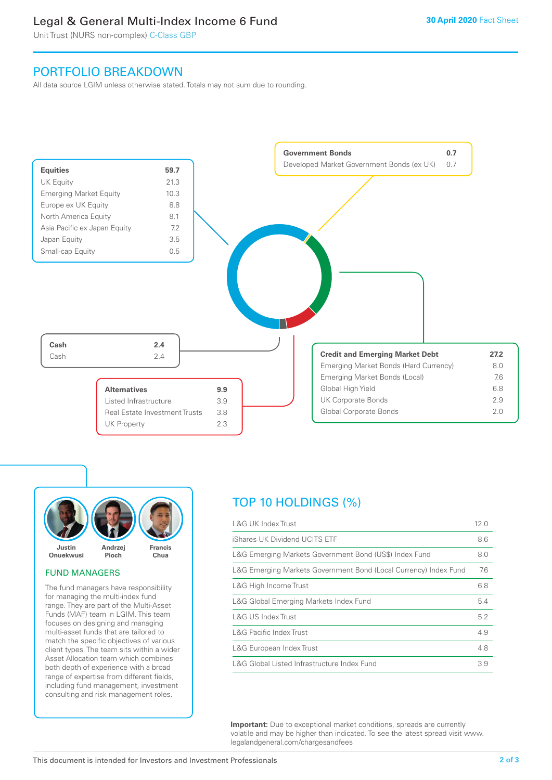### Legal & General Multi-Index Income 6 Fund

Unit Trust (NURS non-complex) C-Class GBP

### PORTFOLIO BREAKDOWN

All data source LGIM unless otherwise stated. Totals may not sum due to rounding.





### FUND MANAGERS

The fund managers have responsibility for managing the multi-index fund range. They are part of the Multi-Asset Funds (MAF) team in LGIM. This team focuses on designing and managing multi-asset funds that are tailored to match the specific objectives of various client types. The team sits within a wider Asset Allocation team which combines both depth of experience with a broad range of expertise from different fields, including fund management, investment consulting and risk management roles.

# TOP 10 HOLDINGS (%)

| <b>L&amp;G UK Index Trust</b>                                    | 12.0 |
|------------------------------------------------------------------|------|
| iShares UK Dividend UCITS ETF                                    | 8.6  |
| L&G Emerging Markets Government Bond (US\$) Index Fund           | 8.0  |
| L&G Emerging Markets Government Bond (Local Currency) Index Fund | 7.6  |
| L&G High Income Trust                                            | 6.8  |
| L&G Global Emerging Markets Index Fund                           | 5.4  |
| L&G US Index Trust                                               | 5.2  |
| <b>L&amp;G Pacific Index Trust</b>                               | 4.9  |
| L&G European Index Trust                                         | 4.8  |
| L&G Global Listed Infrastructure Index Fund                      | 3.9  |

**Important:** Due to exceptional market conditions, spreads are currently volatile and may be higher than indicated. To see the latest spread visit www. legalandgeneral.com/chargesandfees